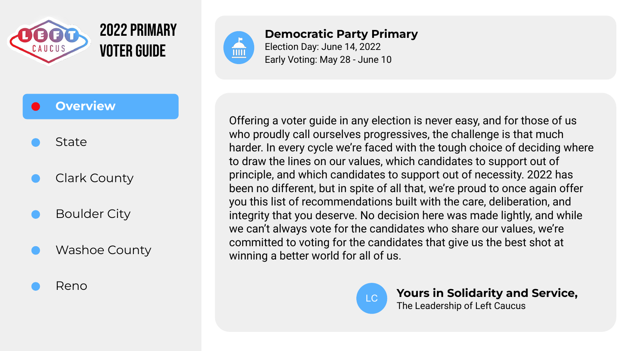

### State

# Clark County

# Boulder City

Washoe County

#### Reno



**Democratic Party Primary** Election Day: June 14, 2022 Early Voting: May 28 - June 10

Offering a voter guide in any election is never easy, and for those of us who proudly call ourselves progressives, the challenge is that much harder. In every cycle we're faced with the tough choice of deciding where to draw the lines on our values, which candidates to support out of principle, and which candidates to support out of necessity. 2022 has been no different, but in spite of all that, we're proud to once again offer you this list of recommendations built with the care, deliberation, and integrity that you deserve. No decision here was made lightly, and while we can't always vote for the candidates who share our values, we're committed to voting for the candidates that give us the best shot at winning a better world for all of us.



LC **Yours in Solidarity and Service,** The Leadership of Left Caucus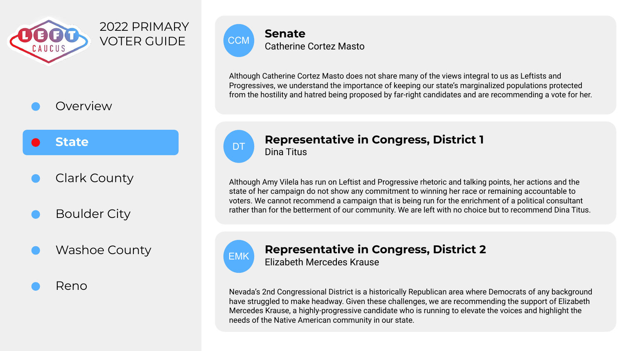

#### **State**

## Clark County

Boulder City

## Washoe County

Reno



Although Catherine Cortez Masto does not share many of the views integral to us as Leftists and Progressives, we understand the importance of keeping our state's marginalized populations protected from the hostility and hatred being proposed by far-right candidates and are recommending a vote for her.



#### **Representative in Congress, District 1** Dina Titus

Although Amy Vilela has run on Leftist and Progressive rhetoric and talking points, her actions and the state of her campaign do not show any commitment to winning her race or remaining accountable to voters. We cannot recommend a campaign that is being run for the enrichment of a political consultant rather than for the betterment of our community. We are left with no choice but to recommend Dina Titus.



### **Representative in Congress, District 2**

Elizabeth Mercedes Krause

Nevada's 2nd Congressional District is a historically Republican area where Democrats of any background have struggled to make headway. Given these challenges, we are recommending the support of Elizabeth Mercedes Krause, a highly-progressive candidate who is running to elevate the voices and highlight the needs of the Native American community in our state.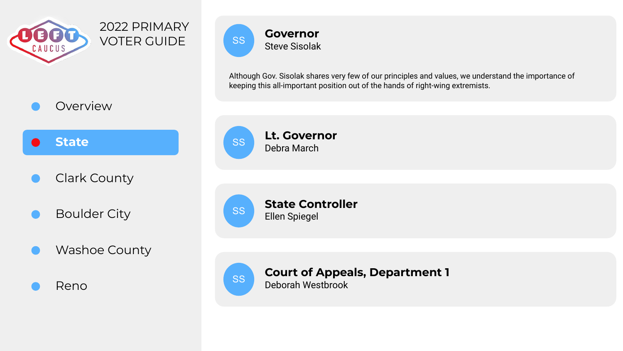



- Clark County
- Boulder City
- Washoe County





Although Gov. Sisolak shares very few of our principles and values, we understand the importance of keeping this all-important position out of the hands of right-wing extremists.







**Court of Appeals, Department 1** SS Deborah Westbrook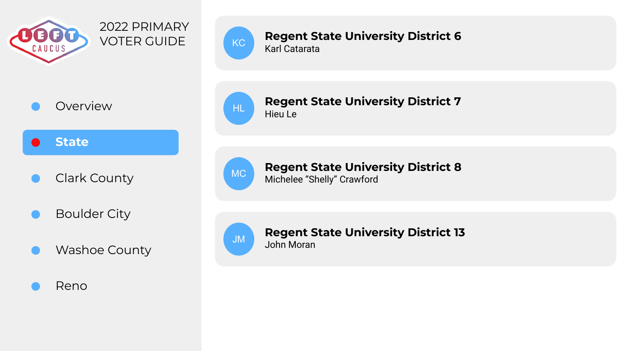

Overview

#### **State**

Clark County

- Boulder City
- Washoe County

#### Reno



#### **Regent State University District 6**  $K<sub>C</sub>$  **Kegent Stars**

#### **Regent State University District 7**  $H<sub>II</sub>$  Hieu Le



**Regent State University District 8** MC Michelee "Shelly" Crawford



#### **Regent State University District 13**  $JM$  John Moran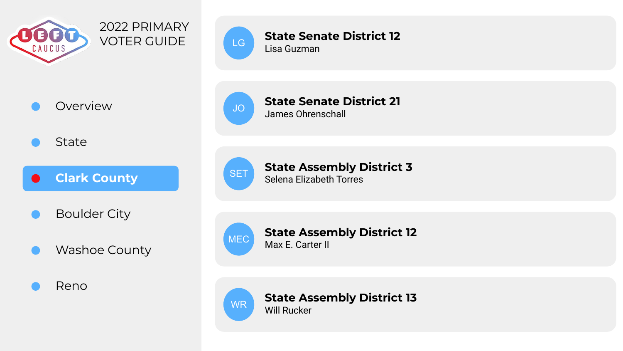

# Overview

**State** 

**Clark County**  $\bullet$ 

- Boulder City
- Washoe County

Reno



#### **State Senate District 12**  $\begin{array}{c} \text{LG} \\ \text{Lisa Guzman} \end{array}$

James Ohrenschall JO



#### **State Assembly District 3** SET State Assembly L



#### **State Assembly District 12** MEC **Max E. Carter II**



**State Assembly District 13** WR Will Rucker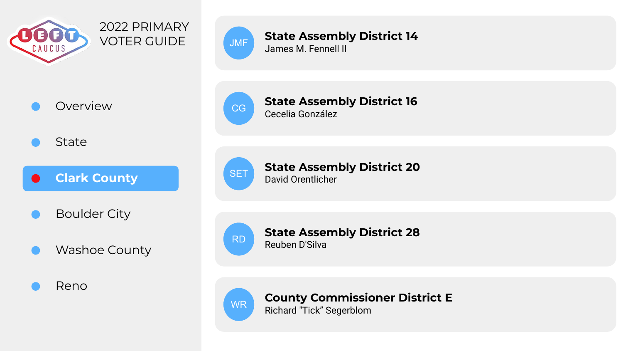

### Overview

**State** 

**Clark County**  $\bullet$ 

- Boulder City
- Washoe County

Reno



#### **State Assembly District 14** JMF **State Assemble**<br>James M. Fennell II



**State Assembly District 16** CG Cecelia González



**State Assembly District 20** SET Bavid Orentlicher



**State Assembly District 28** RD Reuben D'Silva



**County Commissioner District E**

WR Richard "Tick" Segerblom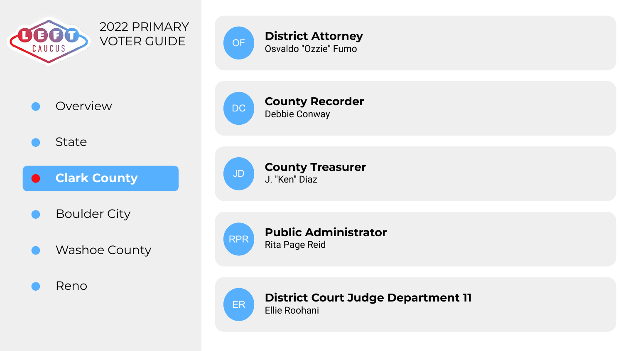



Overview

**State** 

**Clark County**  $\bullet$ 

- Boulder City
- Washoe County

Reno



**County Recorder** DC Debbie Conway



**County Treasurer** JD **County** II



**Public Administrator** RPR Rita Page Reid



**District Court Judge Department 11**

 $\begin{bmatrix} \mathsf{ER} \\ \mathsf{Ellie} \end{bmatrix}$  Roohani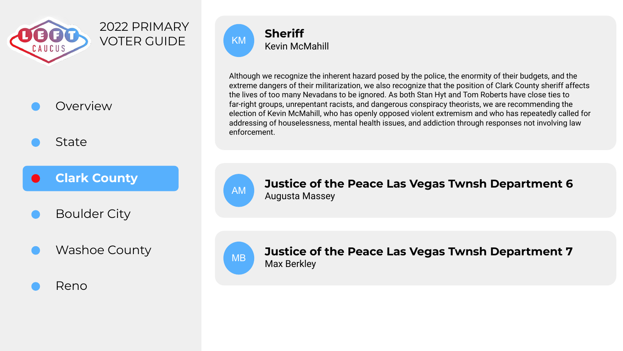

State

### **Clark County**

Boulder City

Washoe County

#### Reno



Although we recognize the inherent hazard posed by the police, the enormity of their budgets, and the extreme dangers of their militarization, we also recognize that the position of Clark County sheriff affects the lives of too many Nevadans to be ignored. As both Stan Hyt and Tom Roberts have close ties to far-right groups, unrepentant racists, and dangerous conspiracy theorists, we are recommending the election of Kevin McMahill, who has openly opposed violent extremism and who has repeatedly called for addressing of houselessness, mental health issues, and addiction through responses not involving law enforcement.



**Justice of the Peace Las Vegas Twnsh Department 6** AM Augusta Massey



**Justice of the Peace Las Vegas Twnsh Department 7** MB Max Berkley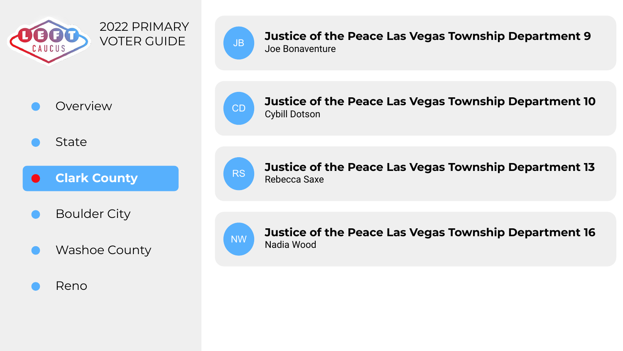

# Overview

**State** 

**Clark County**  $\bullet$ 

- Boulder City
- Washoe County

Reno



**Justice of the Peace Las Vegas Township Department 9**  $J_{\rm BB}$  Joe Bonaventure



**Justice of the Peace Las Vegas Township Department 10** CD Cybill Dotson



**Justice of the Peace Las Vegas Township Department 13** RS Rebecca Saxe



**Justice of the Peace Las Vegas Township Department 16** NW Nadia Wood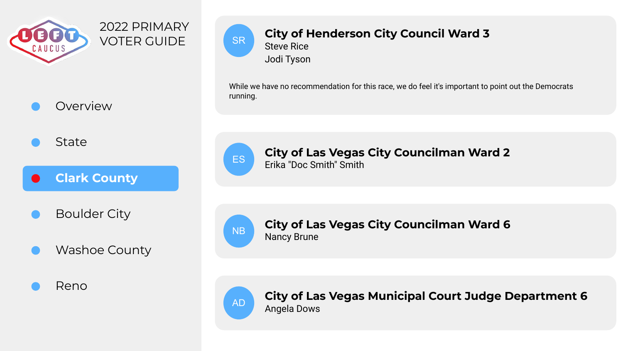

State

**Clark County**  $\bullet$ 

- Boulder City
- Washoe County

Reno



### **City of Henderson City Council Ward 3**

Steve Rice Jodi Tyson

While we have no recommendation for this race, we do feel it's important to point out the Democrats running.



**City of Las Vegas City Councilman Ward 2** ES **Erika "Doc Smith" Smith** 



**City of Las Vegas City Councilman Ward 6** NB Nancy Brune



**City of Las Vegas Municipal Court Judge Department 6** AD Angela Dows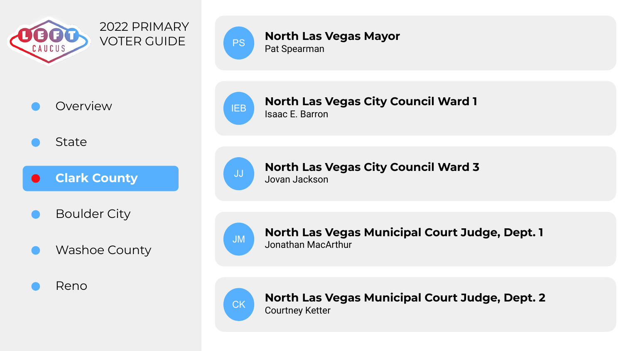

# Overview

State

**Clark County**  $\bullet$ 

- Boulder City
- Washoe County

Reno



PS Pat Spearman

**North Las Vegas City Council Ward 1**  $\overline{IB}$  Isaac E. Barron

**North Las Vegas Mayor**



**North Las Vegas City Council Ward 3** Jovan Jackson JJ



**North Las Vegas Municipal Court Judge, Dept. 1** JM Jonathan MacArthur



**North Las Vegas Municipal Court Judge, Dept. 2** CK Courtney Ketter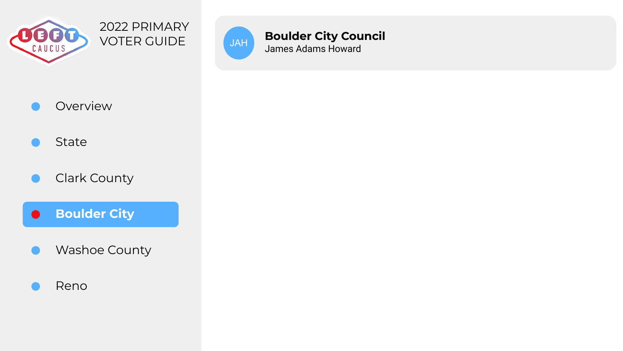



**Boulder City Council** JAH **Boulder City Cou**<br>James Adams Howard



## State

### Clark County

**Boulder City**  $\bullet$ 

- Washoe County
- Reno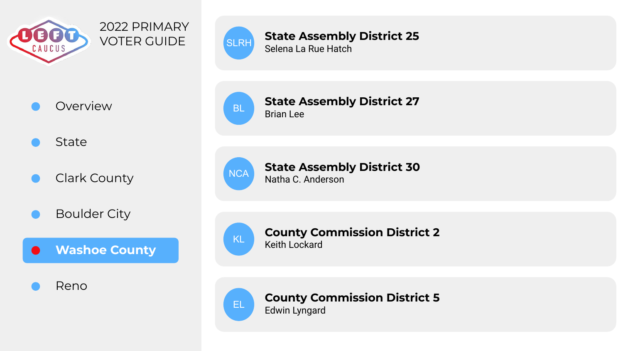

# Overview

**State** 

- Clark County
- Boulder City



Reno



#### **State Assembly District 25** SLRH State Assembly<br>Selena La Rue Hatch

BL Brian Lee



**State Assembly District 30** NCA Natha C. Anderson

**State Assembly District 27**



#### **County Commission District 2**  $KL$  Keith Lockard



**County Commission District 5** EL Edwin Lyngard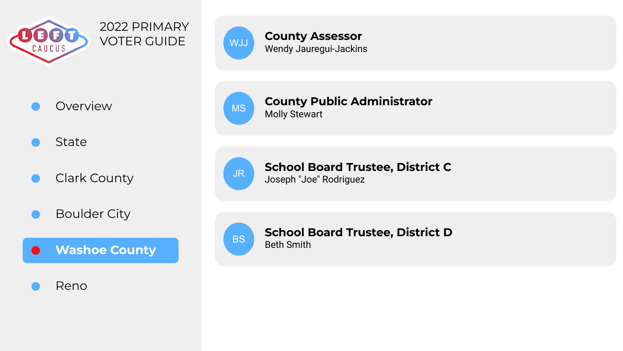

# Overview

**State** 

Clark County

Boulder City



Reno



#### **County Assessor** WJJ **COUTTLY ASSESSOR**<br>Wendy Jauregui-Jackins

#### **County Public Administrator** MS **County Pu**<br>Molly Stewart



#### **School Board Trustee, District C** JR Joseph "Joe" Rodriguez



# **School Board Trustee, District D**